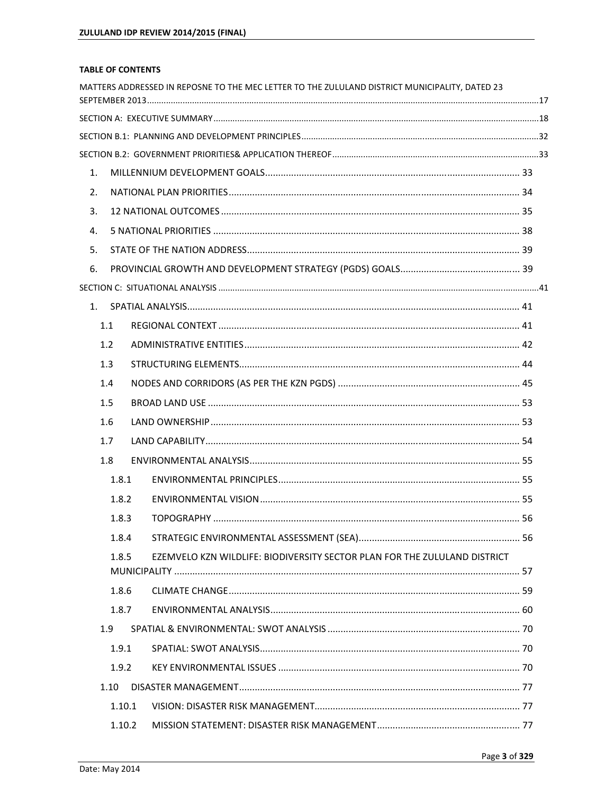## **TABLE OF CONTENTS**

|    |        | MATTERS ADDRESSED IN REPOSNE TO THE MEC LETTER TO THE ZULULAND DISTRICT MUNICIPALITY, DATED 23 |  |
|----|--------|------------------------------------------------------------------------------------------------|--|
|    |        |                                                                                                |  |
|    |        |                                                                                                |  |
|    |        |                                                                                                |  |
| 1. |        |                                                                                                |  |
| 2. |        |                                                                                                |  |
| 3. |        |                                                                                                |  |
| 4. |        |                                                                                                |  |
| 5. |        |                                                                                                |  |
| 6. |        |                                                                                                |  |
|    |        |                                                                                                |  |
|    |        |                                                                                                |  |
|    | 1.1    |                                                                                                |  |
|    | 1.2    |                                                                                                |  |
|    | 1.3    |                                                                                                |  |
|    | 1.4    |                                                                                                |  |
|    | 1.5    |                                                                                                |  |
|    | 1.6    |                                                                                                |  |
|    | 1.7    |                                                                                                |  |
|    | 1.8    |                                                                                                |  |
|    | 1.8.1  |                                                                                                |  |
|    | 1.8.2  |                                                                                                |  |
|    | 1.8.3  |                                                                                                |  |
|    | 1.8.4  |                                                                                                |  |
|    | 1.8.5  | EZEMVELO KZN WILDLIFE: BIODIVERSITY SECTOR PLAN FOR THE ZULULAND DISTRICT                      |  |
|    |        |                                                                                                |  |
|    | 1.8.6  |                                                                                                |  |
|    | 1.8.7  |                                                                                                |  |
|    | 1.9    |                                                                                                |  |
|    | 1.9.1  |                                                                                                |  |
|    | 1.9.2  |                                                                                                |  |
|    | 1.10   |                                                                                                |  |
|    | 1.10.1 |                                                                                                |  |
|    | 1.10.2 |                                                                                                |  |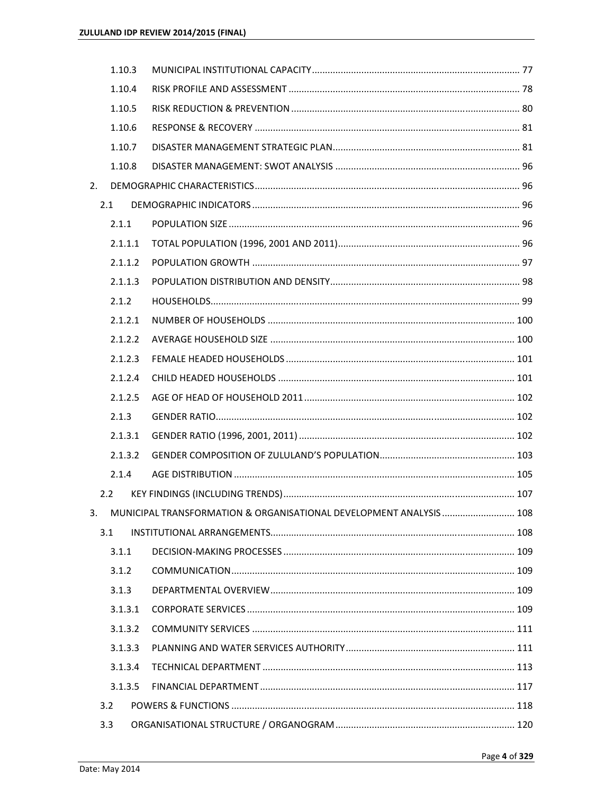|    | 1.10.3  |                                                                       |  |
|----|---------|-----------------------------------------------------------------------|--|
|    | 1.10.4  |                                                                       |  |
|    | 1.10.5  |                                                                       |  |
|    | 1.10.6  |                                                                       |  |
|    | 1.10.7  |                                                                       |  |
|    | 1.10.8  |                                                                       |  |
| 2. |         |                                                                       |  |
|    | 2.1     |                                                                       |  |
|    | 2.1.1   |                                                                       |  |
|    | 2.1.1.1 |                                                                       |  |
|    | 2.1.1.2 |                                                                       |  |
|    | 2.1.1.3 |                                                                       |  |
|    | 2.1.2   |                                                                       |  |
|    | 2.1.2.1 |                                                                       |  |
|    | 2.1.2.2 |                                                                       |  |
|    | 2.1.2.3 |                                                                       |  |
|    | 2.1.2.4 |                                                                       |  |
|    | 2.1.2.5 |                                                                       |  |
|    |         |                                                                       |  |
|    | 2.1.3   |                                                                       |  |
|    | 2.1.3.1 |                                                                       |  |
|    | 2.1.3.2 |                                                                       |  |
|    | 2.1.4   |                                                                       |  |
|    | 2.2     |                                                                       |  |
|    |         | 3. MUNICIPAL TRANSFORMATION & ORGANISATIONAL DEVELOPMENT ANALYSIS 108 |  |
|    | 3.1     |                                                                       |  |
|    | 3.1.1   |                                                                       |  |
|    | 3.1.2   |                                                                       |  |
|    | 3.1.3   |                                                                       |  |
|    | 3.1.3.1 |                                                                       |  |
|    | 3.1.3.2 |                                                                       |  |
|    | 3.1.3.3 |                                                                       |  |
|    | 3.1.3.4 |                                                                       |  |
|    | 3.1.3.5 |                                                                       |  |
|    | 3.2     |                                                                       |  |
|    | 3.3     |                                                                       |  |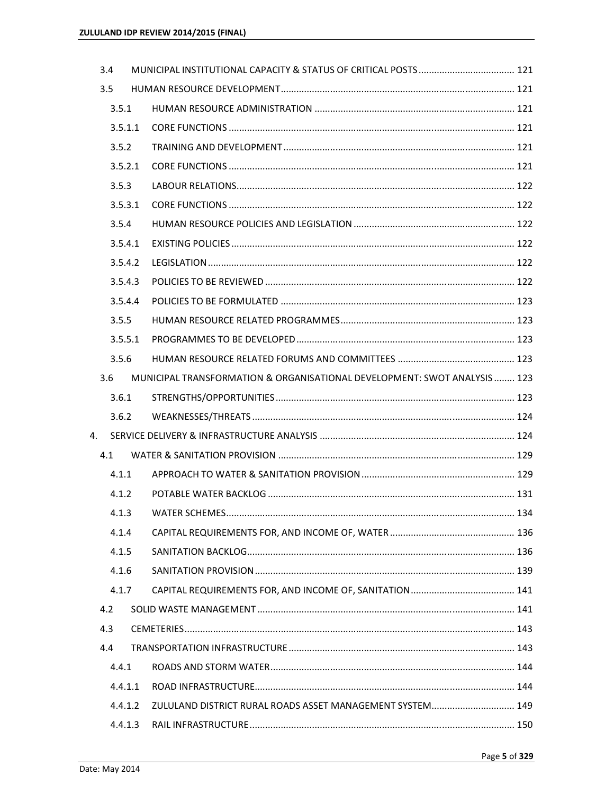|    | 3.4     |                                                                           |  |
|----|---------|---------------------------------------------------------------------------|--|
|    | 3.5     |                                                                           |  |
|    | 3.5.1   |                                                                           |  |
|    | 3.5.1.1 |                                                                           |  |
|    | 3.5.2   |                                                                           |  |
|    | 3.5.2.1 |                                                                           |  |
|    | 3.5.3   |                                                                           |  |
|    | 3.5.3.1 |                                                                           |  |
|    | 3.5.4   |                                                                           |  |
|    | 3.5.4.1 |                                                                           |  |
|    | 3.5.4.2 |                                                                           |  |
|    | 3.5.4.3 |                                                                           |  |
|    | 3.5.4.4 |                                                                           |  |
|    | 3.5.5   |                                                                           |  |
|    | 3.5.5.1 |                                                                           |  |
|    | 3.5.6   |                                                                           |  |
|    | 3.6     | MUNICIPAL TRANSFORMATION & ORGANISATIONAL DEVELOPMENT: SWOT ANALYSIS  123 |  |
|    | 3.6.1   |                                                                           |  |
|    | 3.6.2   |                                                                           |  |
| 4. |         |                                                                           |  |
|    | 4.1     |                                                                           |  |
|    | 4.1.1   |                                                                           |  |
|    | 4.1.2   |                                                                           |  |
|    |         |                                                                           |  |
|    | 4.1.4   |                                                                           |  |
|    | 4.1.5   |                                                                           |  |
|    | 4.1.6   |                                                                           |  |
|    | 4.1.7   |                                                                           |  |
|    | 4.2     |                                                                           |  |
|    | 4.3     |                                                                           |  |
|    | 4.4     |                                                                           |  |
|    | 4.4.1   |                                                                           |  |
|    | 4.4.1.1 |                                                                           |  |
|    | 4.4.1.2 | ZULULAND DISTRICT RURAL ROADS ASSET MANAGEMENT SYSTEM 149                 |  |
|    | 4.4.1.3 |                                                                           |  |
|    |         |                                                                           |  |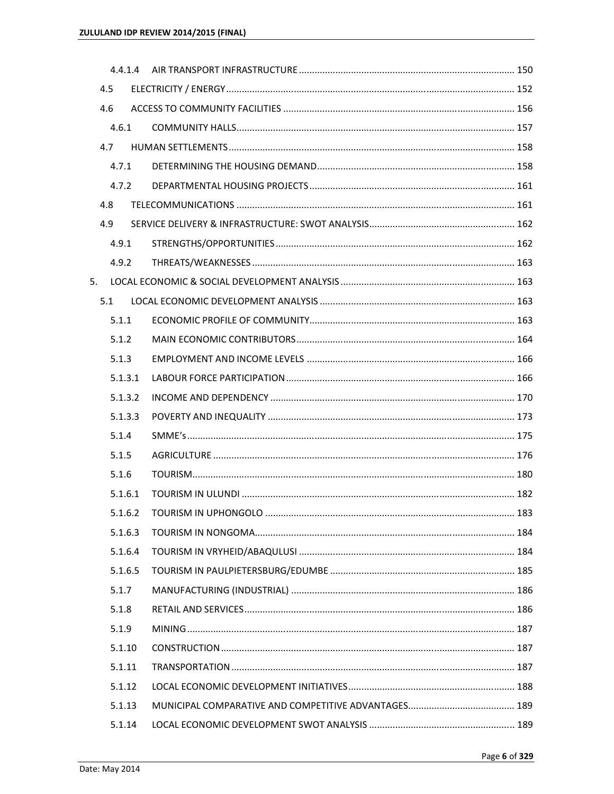|                | 4.5     |  |  |
|----------------|---------|--|--|
|                | 4.6     |  |  |
|                | 4.6.1   |  |  |
|                | 4.7     |  |  |
|                | 4.7.1   |  |  |
|                | 4.7.2   |  |  |
|                | 4.8     |  |  |
|                | 4.9     |  |  |
|                | 4.9.1   |  |  |
|                | 4.9.2   |  |  |
| 5 <sub>1</sub> |         |  |  |
|                | 5.1     |  |  |
|                | 5.1.1   |  |  |
|                | 5.1.2   |  |  |
|                | 5.1.3   |  |  |
|                | 5.1.3.1 |  |  |
|                | 5.1.3.2 |  |  |
|                | 5.1.3.3 |  |  |
|                | 5.1.4   |  |  |
|                | 5.1.5   |  |  |
|                | 5.1.6   |  |  |
|                | 5.1.6.1 |  |  |
|                |         |  |  |
|                | 5.1.6.3 |  |  |
|                | 5.1.6.4 |  |  |
|                | 5.1.6.5 |  |  |
|                | 5.1.7   |  |  |
|                | 5.1.8   |  |  |
|                | 5.1.9   |  |  |
|                | 5.1.10  |  |  |
|                | 5.1.11  |  |  |
|                | 5.1.12  |  |  |
|                | 5.1.13  |  |  |
|                | 5.1.14  |  |  |
|                |         |  |  |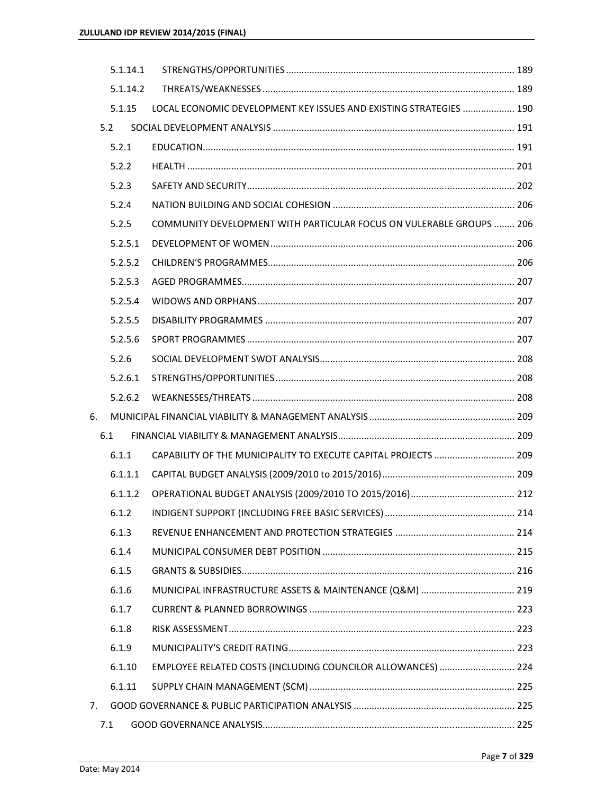|    | 5.1.14.1 |                                                                      |  |
|----|----------|----------------------------------------------------------------------|--|
|    | 5.1.14.2 |                                                                      |  |
|    | 5.1.15   | LOCAL ECONOMIC DEVELOPMENT KEY ISSUES AND EXISTING STRATEGIES  190   |  |
|    | 5.2      |                                                                      |  |
|    | 5.2.1    |                                                                      |  |
|    | 5.2.2    |                                                                      |  |
|    | 5.2.3    |                                                                      |  |
|    | 5.2.4    |                                                                      |  |
|    | 5.2.5    | COMMUNITY DEVELOPMENT WITH PARTICULAR FOCUS ON VULERABLE GROUPS  206 |  |
|    | 5.2.5.1  |                                                                      |  |
|    | 5.2.5.2  |                                                                      |  |
|    | 5.2.5.3  |                                                                      |  |
|    | 5.2.5.4  |                                                                      |  |
|    | 5.2.5.5  |                                                                      |  |
|    | 5.2.5.6  |                                                                      |  |
|    | 5.2.6    |                                                                      |  |
|    | 5.2.6.1  |                                                                      |  |
|    | 5.2.6.2  |                                                                      |  |
| 6. |          |                                                                      |  |
|    | 6.1      |                                                                      |  |
|    | 6.1.1    | CAPABILITY OF THE MUNICIPALITY TO EXECUTE CAPITAL PROJECTS  209      |  |
|    | 6.1.1.1  |                                                                      |  |
|    | 6.1.1.2  |                                                                      |  |
|    |          |                                                                      |  |
|    | 6.1.3    |                                                                      |  |
|    | 6.1.4    |                                                                      |  |
|    | 6.1.5    |                                                                      |  |
|    | 6.1.6    | MUNICIPAL INFRASTRUCTURE ASSETS & MAINTENANCE (Q&M)  219             |  |
|    | 6.1.7    |                                                                      |  |
|    | 6.1.8    |                                                                      |  |
|    | 6.1.9    |                                                                      |  |
|    | 6.1.10   | EMPLOYEE RELATED COSTS (INCLUDING COUNCILOR ALLOWANCES)  224         |  |
|    | 6.1.11   |                                                                      |  |
| 7. |          |                                                                      |  |
|    | 7.1      |                                                                      |  |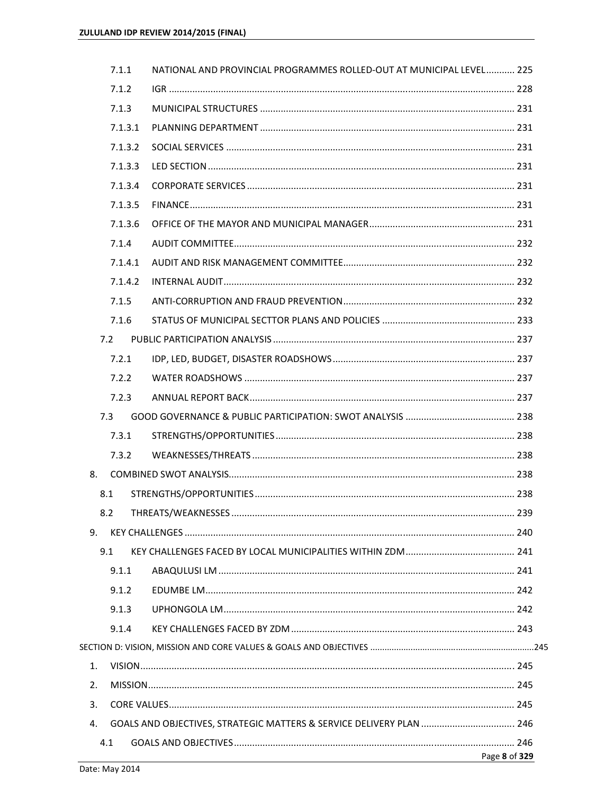|    | 7.1.1   | NATIONAL AND PROVINCIAL PROGRAMMES ROLLED-OUT AT MUNICIPAL LEVEL 225 |               |
|----|---------|----------------------------------------------------------------------|---------------|
|    | 7.1.2   |                                                                      |               |
|    | 7.1.3   |                                                                      |               |
|    | 7.1.3.1 |                                                                      |               |
|    | 7.1.3.2 |                                                                      |               |
|    | 7.1.3.3 |                                                                      |               |
|    | 7.1.3.4 |                                                                      |               |
|    | 7.1.3.5 |                                                                      |               |
|    | 7.1.3.6 |                                                                      |               |
|    | 7.1.4   |                                                                      |               |
|    | 7.1.4.1 |                                                                      |               |
|    | 7.1.4.2 |                                                                      |               |
|    | 7.1.5   |                                                                      |               |
|    | 7.1.6   |                                                                      |               |
|    | 7.2     |                                                                      |               |
|    | 7.2.1   |                                                                      |               |
|    | 7.2.2   |                                                                      |               |
|    | 7.2.3   |                                                                      |               |
|    | 7.3     |                                                                      |               |
|    | 7.3.1   |                                                                      |               |
|    | 7.3.2   |                                                                      |               |
| 8. |         |                                                                      |               |
|    | 8.1     |                                                                      |               |
|    |         |                                                                      |               |
| 9. |         |                                                                      |               |
|    | 9.1     |                                                                      |               |
|    | 9.1.1   |                                                                      |               |
|    | 9.1.2   |                                                                      |               |
|    | 9.1.3   |                                                                      |               |
|    | 9.1.4   |                                                                      |               |
|    |         |                                                                      |               |
| 1. |         |                                                                      |               |
| 2. |         |                                                                      |               |
| 3. |         |                                                                      |               |
| 4. |         | GOALS AND OBJECTIVES, STRATEGIC MATTERS & SERVICE DELIVERY PLAN  246 |               |
|    | 4.1     |                                                                      |               |
|    |         |                                                                      | Page 8 of 329 |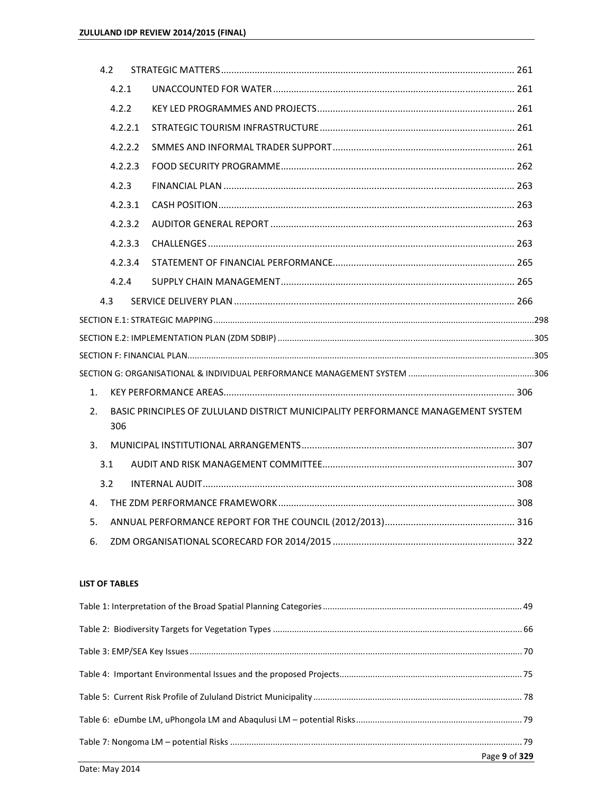|    | 4.2     |                                                                                          |  |
|----|---------|------------------------------------------------------------------------------------------|--|
|    | 4.2.1   |                                                                                          |  |
|    | 4.2.2   |                                                                                          |  |
|    | 4.2.2.1 |                                                                                          |  |
|    | 4.2.2.2 |                                                                                          |  |
|    | 4.2.2.3 |                                                                                          |  |
|    | 4.2.3   |                                                                                          |  |
|    | 4.2.3.1 |                                                                                          |  |
|    | 4.2.3.2 |                                                                                          |  |
|    | 4.2.3.3 |                                                                                          |  |
|    | 4.2.3.4 |                                                                                          |  |
|    | 4.2.4   |                                                                                          |  |
|    | 4.3     |                                                                                          |  |
|    |         |                                                                                          |  |
|    |         | .<br>SECTION E.2: IMPLEMENTATION PLAN (ZDM SDBIP) ……………………………………………………………………………………………305 |  |
|    |         |                                                                                          |  |
|    |         |                                                                                          |  |
| 1. |         |                                                                                          |  |
| 2. | 306     | BASIC PRINCIPLES OF ZULULAND DISTRICT MUNICIPALITY PERFORMANCE MANAGEMENT SYSTEM         |  |
| 3. |         |                                                                                          |  |
|    | 3.1     |                                                                                          |  |
|    | 3.2     |                                                                                          |  |
| 4. |         |                                                                                          |  |
| 5. |         |                                                                                          |  |
| 6. |         |                                                                                          |  |

## **LIST OF TABLES**

| Page 9 of 329 |
|---------------|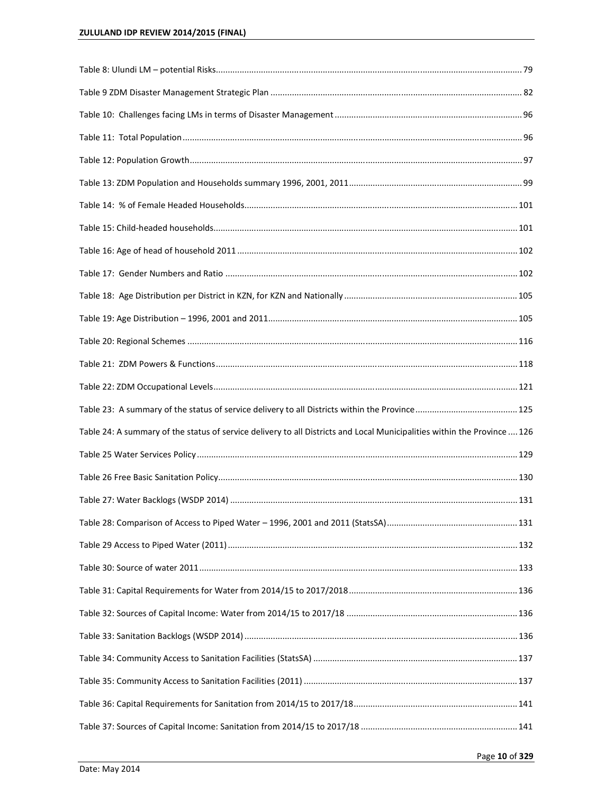| Table 24: A summary of the status of service delivery to all Districts and Local Municipalities within the Province  126 |  |
|--------------------------------------------------------------------------------------------------------------------------|--|
|                                                                                                                          |  |
|                                                                                                                          |  |
|                                                                                                                          |  |
|                                                                                                                          |  |
|                                                                                                                          |  |
|                                                                                                                          |  |
|                                                                                                                          |  |
|                                                                                                                          |  |
|                                                                                                                          |  |
|                                                                                                                          |  |
|                                                                                                                          |  |
|                                                                                                                          |  |
|                                                                                                                          |  |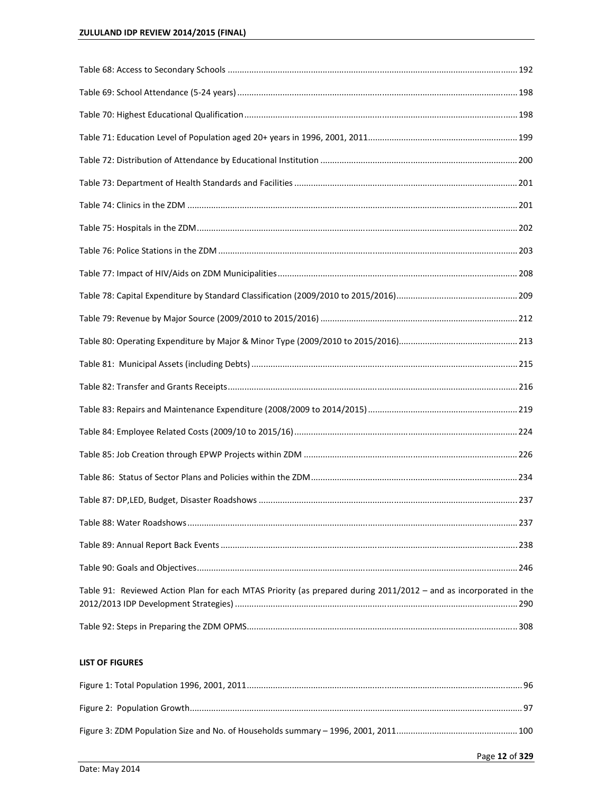| Table 91: Reviewed Action Plan for each MTAS Priority (as prepared during 2011/2012 - and as incorporated in the |  |
|------------------------------------------------------------------------------------------------------------------|--|
|                                                                                                                  |  |

# **LIST OF FIGURES**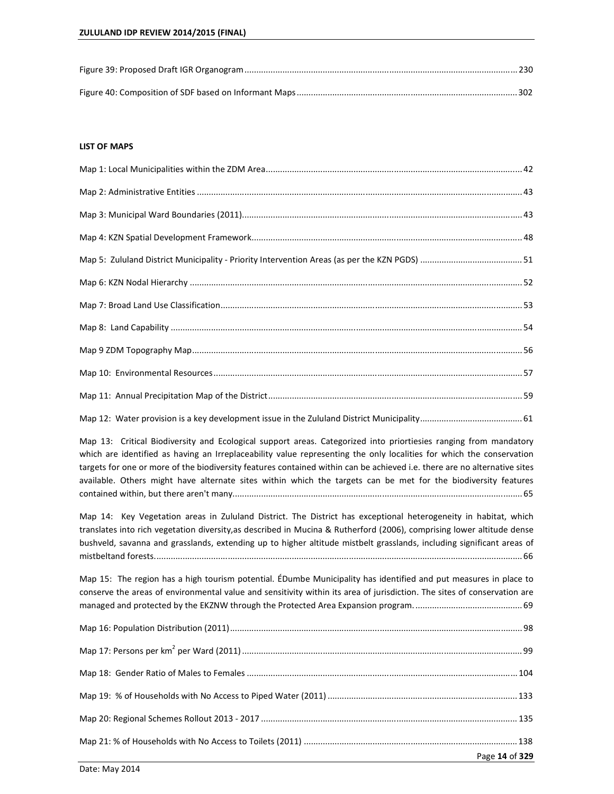#### **LIST OF MAPS**

Map 13: Critical Biodiversity and Ecological support areas. Categorized into priortiesies ranging from mandatory which are identified as having an Irreplaceability value representing the only localities for which the conservation targets for one or more of the biodiversity features contained within can be achieved i.e. there are no alternative sites available. Others might have alternate sites within which the targets can be met for the biodiversity features contained within, but there aren't many.......................................................................................................................... 65

Map 14: Key Vegetation areas in Zululand District. The District has exceptional heterogeneity in habitat, which translates into rich vegetation diversity,as described in Mucina & Rutherford (2006), comprising lower altitude dense bushveld, savanna and grasslands, extending up to higher altitude mistbelt grasslands, including significant areas of mistbeltand forests. .......................................................................................................................................................... 66

Map 15: The region has a high tourism potential. ÉDumbe Municipality has identified and put measures in place to conserve the areas of environmental value and sensitivity within its area of jurisdiction. The sites of conservation are managed and protected by the EKZNW through the Protected Area Expansion program. ............................................. 69

| Page 14 of 329 |
|----------------|